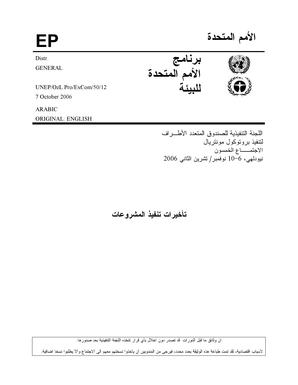| FP                       |                     | الأمم المتحدة |
|--------------------------|---------------------|---------------|
| Distr.                   | نامج                |               |
| <b>GENERAL</b>           | .ر<br>الأمم المتحدة |               |
| UNEP/OzL.Pro/ExCom/50/12 |                     |               |
| 7 October 2006           |                     |               |
| <b>ARABIC</b>            |                     |               |
| ORIGINAL: ENGLISH        |                     |               |

اللجنة التنفيذية للصندوق المتعدد الأطراف لنتفيذ بروتوكول مونتريال الاجتمـــاع الخمسون نيودلمي، 6−10 نوفمبر/تشرين الثاني 2006

تأخيرات تنفيذ المشروعات

ان وثائق ما قبل الدورات قد تصدر دون اخلال بأي قرار تتخذه اللجنة التنفيذية بعد صدورها.

لأسباب اقتصادية، لقد تمت طباعة هذه الوثيقة بعدد محدد، فيرجى من المندوبين أن يأخذوا نسختهم معهم الى الاجتماع وألا يطلبوا نسخا اضافية.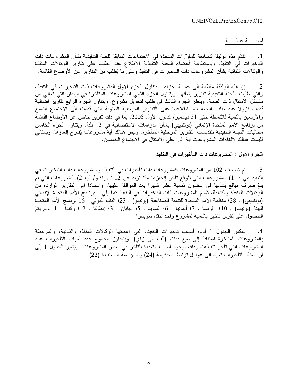## لمحسة عامّسة

ئقدَّم هذه الوثيقة كمتابعة للمقرّر ات المتخذة في الاجتماعات السابقة للجنة التنفيذية بشأن المشروعات ذات  $\cdot$ 1 التأخيرات في التنفيذ. وباستطاعة أعضاء اللجنة التنفيذية الاطلاع عند الطلب على تقارير الوكالات المنفذة والوكالات الثنائية بشأن المشروعات ذات التأخيرات في التنفيذ وعلى ما يُطلب من التقارير عن الأوضاع القائمة.

إن هذه الوثيقة مقسَّمة إلى خمسة أجزاء : يتناول الجزء الأول المشروعات ذات التأخيرات في التنفيذ،  $\cdot$  2 والتي طلبت اللجنة التنفيذية تقارير بشأنها. ويتناول الجزء الثاني المشروعات المتأخرة في البلدان التي تُعانى من مشاكل الامتثال ذات الصلة. وينظر الجزء الثالث في طلب لتحويل مشروع. ويتناول الجزء الرابع تقارير إضافية قُدّمت نزولاً عند طلب اللجنة بعد اطّلاعها على التقارير المرحلية السنوية التي قُدّمت إلى الاجتماع التاسع والأربعين بالنسبة للأنشطة حتى 31 ديسمبر/كانون الأول 2005، بما في ذلك تقرير خاص عن الأوضاع القائمة من برنامج الأمم المتحدة الإنمائي (يوئنديبي) بشأن الدراسات الاستقصائية في 12 بلدًا. ويتناول الجزء الخامس مطالبات اللجنة التنفيذية بتقديمات التقارير المرحلية المتأخرة. وليس هنالك أية مشروعات يُقترح إلغاؤها، وبالتالي فليست هنالك لإلغاءات المشروعات أية آثار على الامتثال في الاجتماع الخمسين.

## الجزء الأول : المشروعات ذات التأخيرات في التنفيذ

تمّ تصنيف 102 من المشروعات كمشروعات ذات تأخير ات في التنفيذ. والمشروعات ذات التأخير ات في .3 النّنفيذ هي : 1) المشروعات التي يُتَوقَع تأخّر إنجازها مدّة نزيد عن 12 شهراً؛ و/ أو، 2) المشروعات التي لم يتمّ صرف مبالغ بشأنها في غضون ثمانية عشر شهراً بعد الموافقة عليها. واستناداً إلى التقارير الواردة من الوكالات المنفذة والثنائية، نقسم المشروعات ذات التأخيرات في التنفيذ كما يلي : برنامج الأمم المتحدة الإنمائي (يوئنديبي) : 28؛ منظمة الأمم المتحدة للتنمية الصناعية (يونيدو) : 23؛ البنك الدولي : 16 برنامج الأمم المتحدة للبيئة (يونيب) : 10؛ فرنسا : 7؛ ألمانيا : 6؛ السويد : 5؛ اليابان : 3؛ إيطاليا : 2 ؛ وكندا : 1. ولم يتمّ الحصول على تقرير تأخير بالنسبة لمشروع واحد تنقذه سويسرا.

يعكس الجدول 1 أدناه أسباب تأخيرات التنفيذ، التي أعطتها الوكالات المنفذة والثنائية، والمرتبطة  $\cdot$ .4 بالمشروعات المتأخرة استناداً إلى سبع فئات (ألف إلى زاي). ويتجاوز مجموع عدد أسباب التأخيرات عدد المشروعات التي تأخر تنفيذها، وذلك لوجود أسباب متعدّدة للتأخّر في بعض المشروعات. ويشير الجدول 1 إلى أن معظم التأخير ات تعود إلى عوامل ترتبط بالحكومة (24) وبالمؤسَّسة المستفيدة (22).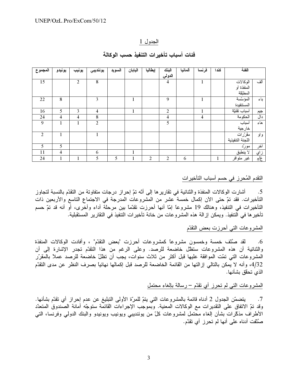## الجدول 1

| المجموع        | يونيدو         | يونيب | يوئنديبي       | السويد | اليابان | إيطاليا        | البنك          | ألمانيا | فرنسا          | کند ( | الفئة            |                            |
|----------------|----------------|-------|----------------|--------|---------|----------------|----------------|---------|----------------|-------|------------------|----------------------------|
|                |                |       |                |        |         |                | الدولي         |         |                |       |                  |                            |
| 15             |                | 2     | 8              |        |         |                | 4              |         |                |       | الوكالات         | ألف                        |
|                |                |       |                |        |         |                |                |         |                |       | المنفذة أو       |                            |
|                |                |       |                |        |         |                |                |         |                |       | المطبّقة         |                            |
| 22             | 8              |       | 3              |        |         |                | 9              |         |                |       | المؤسّسة         | باء                        |
|                |                |       |                |        |         |                |                |         |                |       | المستنفيدة       |                            |
| 16             | 5              | 3     | $\overline{4}$ |        | 1       |                | $\overline{2}$ |         | 1              |       | أسباب تقنيّة     | جيم                        |
| 24             | $\overline{4}$ | 4     | 8              |        |         |                | 4              |         | $\overline{4}$ |       | الحكومة          | دال                        |
| 9              | 1              | 1     | 2              |        |         |                | 5              |         |                |       | أسباب            | هاء                        |
|                |                |       |                |        |         |                |                |         |                |       | خارجية           |                            |
| $\overline{2}$ |                |       | 1              |        |         |                |                |         |                |       | مقرّرات          | و او                       |
|                |                |       |                |        |         |                |                |         |                |       | اللجنة التنفيذية |                            |
| 5              | 5              |       |                |        |         |                |                |         |                |       | مورد             | أخر                        |
| 11             | $\overline{4}$ |       | 6              |        | Ι.      |                |                |         |                |       | لا ينطبق         | زاي                        |
| 24             | $\mathbf{1}$   |       | 5              | 5      |         | $\overline{2}$ | $\overline{2}$ | 6       |                |       | غير متوافر       | $\overline{\frac{1}{2}}$ غ |

## فئات أسباب تأخيرات التنفيذ حسب الوكالة

# التقدم المُحرز في حسم أسباب التأخيرات

أشارت الوكالات المنفذة والثنائية في تقارير ها إلى أنّه تمّ إحراز درجات متفاوتة من التقدّم بالنسبة لتجاوز  $.5$ التأخيرات. فقد تمّ حتى الآن إكمال خمسة عشر من المشروعات المدرجة في الاجتماع التاسع والأربعين ذات التأخيرات في التنفيذ، وهنالك 19 مشروعًا إمّا أنها أحرزت نقدّمًا بين مرحلة أداء وأخرى، أو أنه قد نمّ حسم تأخير ها في التنفيذ. ويمكن إز الة هذه المشر وعات من خانة تأخير ات التنفيذ في التقارير المستقبلية.

## المشروعات التبي أحرزت بعض النقدّم

لقد صُنَّف خمسة وخمسون مشروعًا كمشروعات أحرزت "بعض التقدّم" ، وأفادت الوكالات المنفذة  $.6$ والثنائية أن هذه المشروعات ستظل خاضعة للرصد. وعلى الرغم من هذا التقدّم تجدر الإشارة إلى أن المشر وعات التي تمّت الموافقة عليها قبل أكثر من ثلاث سنوات، يجب أن تظلّ خاضعة للرصد عملاً بالمقرّر 4/32، وأنه لا يمكن بالتالي إز التها من القائمة الخاضعة للرصد قبل إكمالها نهائياً بصرف النظر عن مدى التقدّم الذي تحقّق بشأنها.

### المشروعات التبي لم تحرز أي تقدّم – رسالة بالغاء محتمل

يتضمَّن الجدول 2 أدناه قائمة بالمشروعات التي يتمّ للمرّة الأولى التبليغ عن عدم إحراز أي تقدّم بشأنها.  $.7$ وقد تمّ الاتفاق على التقديرات مع الوكالات المعنية. وبموجب الإجراءات القائمة ستوجّه أمانة الصندوق المتعدّد الأطراف مذكّرات بشأن إلغاء محتمل لمشروعات كلّ من يوئنديبي ويونيب ويونيدو والبنك الدولي وفرنسا، التي صُنَّفت أدناه على أنها لم تحرز أي تقدّم.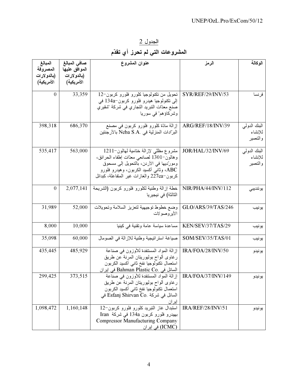ا<u>لجدول 2</u><br>المشروعات التي لم تحرز أي تقدّم

| المبالغ<br>المصروفة<br>(بالدو لار ات | صافى المبالغ<br>الموافق عليها<br>(بالدو لار ات | عنوان المشروع                                                                                                                                                                                                         | الرمز              | الوكالة                              |
|--------------------------------------|------------------------------------------------|-----------------------------------------------------------------------------------------------------------------------------------------------------------------------------------------------------------------------|--------------------|--------------------------------------|
| الأمريكية)                           | الأمريكية)                                     |                                                                                                                                                                                                                       |                    |                                      |
| $\boldsymbol{0}$                     | 33,359                                         | تحويل من تكنولوجيا كلورو فلورو كربون-12<br>اِلِّي نَكْنُولُوجِيا هَيْدِرُو فَلُورُو كَرْبُونْ~134a فَي<br>صنع معدّات النبريد النجاري في شركة "شقيري<br>وشركاؤهم" في سوريا                                             | SYR/REF/29/INV/53  | فرنسا                                |
| 398,318                              | 686,370                                        | إزالة مادّة كلورو فلورو كربون في مصنع<br>البرّادات المنزلية في .Neba S.A بالأرجنتين                                                                                                                                   | ARG/REF/18/INV/39  | البنك الدولمي<br>للإنشاء<br>والتعمير |
| 535,417                              | 563,000                                        | مشروع مظلي لإزالة ختامية لمهالون-1211<br>وهالون–1301 لصانعي معدّات إطفاء الحرائق،<br>ومورَّديها في الأردن، بالنحويل إلى مسحوق<br>ABC، وثاني أكسيد الكربون، وهيدرو فلورو<br>كربون–227ea والغازات غير المتفاعلة، كبدائل | JOR/HAL/32/INV/69  | البنك الدولمي<br>للإنشاء<br>والتعمير |
| $\boldsymbol{0}$                     | 2,077,141                                      | خطة إزالة وطنية لكلورو فلورو كربون (الشريحة<br>الثالثة) في نيجيريا                                                                                                                                                    | NIR/PHA/44/INV/112 | يوئنديبي                             |
| 31,989                               | 52,000                                         | وضع خطوط توجيهية لتعزيز السلامة وتحويلات<br>الأير وصولات                                                                                                                                                              | GLO/ARS/39/TAS/246 | يونيب                                |
| 8,000                                | 10,000                                         | مساعدة سياسة عامة ونقنية في كينيا                                                                                                                                                                                     | KEN/SEV/37/TAS/29  | يونيب                                |
| 35,098                               | 60,000                                         | صياغة استراتيجية وطنية للإزالة في الصومال                                                                                                                                                                             | SOM/SEV/35/TAS/01  | يونيب                                |
| 435,445                              | 485,929                                        | إزالة المواد المستنفدة للأوزون في صناعة<br>رغاوى ألواح بوليوريتان المرنة عن طريق<br>استعمال تكنولوجيا نفخ ثاني أكسيد الكربون<br>السائل في Bahman Plastic Co. في إيران                                                 | IRA/FOA/28/INV/50  | يونيدو                               |
| 299,425                              | 373,515                                        | إز الـه المواد المستنفدة للأوزون في صناعة<br>رغاوى ألواح بوليوريتان المرنة عن طريق<br>استعمال تكنولوجيا نفخ ثانبي أكسيد الكربون<br>السائل في شركة .Esfanj Shirvan Co في<br>إيران                                      | IRA/FOA/37/INV/149 | يونيدو                               |
| 1,098,472                            | 1,160,148                                      | استبدال غاز النبريد كلورو فلورو كربون-12<br>بهيدرو فلورو كربون 134a في شركة Iran<br><b>Compressor Manufacturing Company</b><br>(ICMC) في إيران                                                                        | IRA/REF/28/INV/51  | يونيدو                               |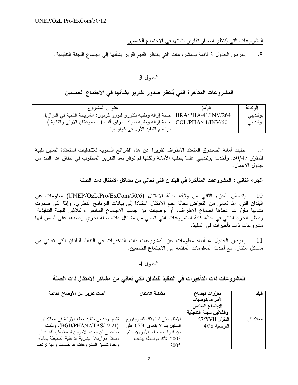المشروعات التي يُنتظر إصدار تقارير بشأنها في الاجتماع الخمسين

يعرض الجدول 3 قائمة بالمشروعات التي ينتظر نقديم تقرير بشأنها إلى اجتماع اللجنة التنفيذية.  $.8$ 

## الجدول 3

# المشروعات المتأخرة التي يُنتظر صدور تقارير بشأنها في الاجتماع الخمسين

| عنوان المشروع                                                                        | الزمز | الو كالة  |
|--------------------------------------------------------------------------------------|-------|-----------|
| BRA/PHA/41/INV/264   خطة إزالة وطنية لكلورو فلورو كربون: الشريحة الثانية في البرازيل |       | يو ئنديبي |
| COL/PHA/41/INV/60   خطة إزالة وطنية لمواد المرفق ألف (المجموعتان الأولى والثانية ):  |       | يو ئنديبي |
| برنامج التنفيذ الأول في كولومبيا                                                     |       |           |

طلبت أمانة الصندوق المتعدّد الأطراف تقريراً عن هذه الشرائح السنوية للاتفاقيات المتعدّدة السنين تلبية .9 للمقرّر 50/47. وأخذت يوئنديبي علماً بطلب الأمانة ولكنّها لم توقر بعد التقرير المطلوب في نطاق هذا البند من جدو ل الأعمال.

الجزء الثاني : المشروعات المتأخرة في البلدان التي تعاني من مشاكل الامتثال ذات الصلة

10. يتضمّن الجزء الثاني من وثيقة حالة الامتثال (UNEP/OzL.Pro/ExCom/50/6) معلومات عن البلدان التبي، إمّا تعانبي من التعرّض لمحالة عدم الامتثال استناداً إلىي بيانات البرنامج القطري، وإمّا التبي صدرت بشأنها مقرّرات اتخذها اجتماع الأطراف، أو توصيات من جانب الاجتماع السادس والثلاثين للجنة التنفيذية. وينظر الجزء الثاني في حالة كافة المشروعات التي تعاني من مشاكل ذات صلة يجري رصدها على أساس أنها مشروعات ذات تأخير ات في التنفيذ.

يعرض الجدول 4 أدناه معلومات عن المشروعات ذات التأخيرات في التنفيذ للبلدان التي تعاني من  $\overline{\phantom{0}}$ .11 مشاكل امتثال، مع أحدث المعلومات المقدّمة إلى الاجتماع الخمسين.

الجدول 4

| أحدث تقرير عن الأوضاع القائمة                                                 | مشكلة الامتثال                                                  | مقرّرات اجتماع<br>الأطراف/توصيات             | النلد    |
|-------------------------------------------------------------------------------|-----------------------------------------------------------------|----------------------------------------------|----------|
|                                                                               |                                                                 | الاجتماع السادس<br>والثلاثين للجنة التنفيذية |          |
| تقوم يوئنديبي بتنفيذ خطة الإزالة في بنغلاديش<br>(BGD/PHA/42/TAS/19-21). وبلغت | الإبقاء علىي استهلاك كلوروفورم<br>الميثيل بما لا يتعدى 0.550 طن | المقرّر 27/XVII                              | بنغلاديش |
| بوئنديبي أن وحدة الأوزون لبنغلاديش أفادت أن                                   | من قدرات استنفاد الأوزون عام                                    | التوصية 4/36                                 |          |
| مسائل مواردها البشرية الداخلية المحيطة بإنشاء                                 | 2005. تأكّد بواسطة بيانات                                       |                                              |          |
| وحدة نتسيق المشروعات قد حُسمت وأنـها نرتقب                                    | 2005                                                            |                                              |          |

المشروعات ذات التأخيرات في التنفيذ للبلدان التي تعاني من مشاكل الامتثال ذات الصلة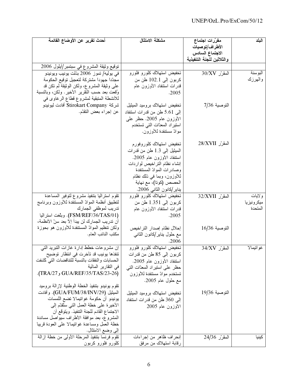| أحدث تقرير عن الأوضاع القائمة                  | مشكلة الامتثال                | مقرّرات اجتماع                | البلد      |
|------------------------------------------------|-------------------------------|-------------------------------|------------|
|                                                |                               | الأطراف/توصيات                |            |
|                                                |                               | الاجتماع السادس               |            |
|                                                |                               | والثلاثين للجنة التنفيذية     |            |
| نوقيع وثيقة المشروع في سبتمبر/أيلول 2006       |                               |                               |            |
| في يوليه/ تموز 2006 بذلت يونيب ويونيدو         | تخفيض استهلاك كلورو فلورو     | $30/XV$ المقر                 | البوسنة    |
| مجدّدأ جهودأ مشتركة لتعجيل توقيع الحكومة       | كربون إلى 102.1 طن من         |                               | والهرزك    |
| علمي وثيقة المشروع، ولكن الوثيقة لم نكن قد     | قدرات استنفاد الأوزون عام     |                               |            |
| وُقعت بعد حسب النقرير الأخير . ولكن، وبالنسبة  | .2005                         |                               |            |
| للأنشطة المتبقية لمشروع قطاع الرغاوى في        |                               |                               |            |
| شركة Stirokart Company أفادت ليونيدو           | تخفيض استهلاك بروميد الميثيل  | التوصية 7/36                  |            |
| عن إجراء بعض التقدّم.                          | إلى 5.61 طن من قدرات استنفاد  |                               |            |
|                                                | الأوزون عام 2005. حظر علمي    |                               |            |
|                                                | استيراد المعدّات التي تستخدم  |                               |            |
|                                                | موادّ مستنفدة للأوزون.        |                               |            |
|                                                |                               |                               |            |
|                                                | تخفيض استهلاك كلوروفورم       | المقرّر 28/XVII               |            |
|                                                | الميثيل إلى 1.3 طن من قدرات   |                               |            |
|                                                | استنفاد الأوزون عام 2005.     |                               |            |
|                                                | إنشاء نظام التراخيص لواردات   |                               |            |
|                                                | وصادرات الموادّ المستنفدة     |                               |            |
|                                                | للأوزون، وبما في ذلك نظام     |                               |            |
|                                                | الحصص (كونا)، مع نهاية        |                               |            |
|                                                | يناير/كانون الثاني 2006.      |                               |            |
| نقوم استراليا بنتفيذ مشروع لتوفير المساعدة     | تخفیض استهلاك كلورو فلورو     | المقرّر 32/XVII               | ولايات     |
| لنطبيق أنظمة المواد المستنفدة للأوزون وبرنامج  | كربون إلى 1.351 طن من         |                               | ميكرونيزيا |
| تدريب لموظفي الجمارك                           | قدرات استنفاد الأوزون عام     |                               | المتحدة    |
| (FSM/REF/36/TAS/01). وبلغت استراليا            | .2005                         |                               |            |
| أن تدريب الجمارك لن يبدأ إلاّ بعد سنّ الأنظمة، |                               |                               |            |
| ولكن ننظيم الموادّ المستنفدة للأوزون هو بحوزة  | إحلال نظام إصدار النز اخيص    | التوصية 16/36                 |            |
| مكتب النائب العام.                             | مع حلول بنابر/كانون الثانبي   |                               |            |
|                                                | .2006                         |                               |            |
| إن مشروعات خطط إدارة غازات النتبريد النبي      | تخفيض استهلاك كلورو فلورو     | المقرّر 34/XV                 | غواتيمالا  |
| تنفذها يونيب قد تأخرت في انتظار توضيح          | كربون إلى 85 طن من قدرات      |                               |            |
| الحسابات والنفقات بالنسبة للتناقضات التي كشفت  | استنفاد الأوزون عام 2005.     |                               |            |
| في النقارير المالية                            | حظر على استيراد المعدّات التي |                               |            |
| (GUA/REF/35/TAS/23-26).                        | تستخدم موادّ مستنفدة للأوزون  |                               |            |
|                                                | مع حلول عام 2005.             |                               |            |
| نقوم بونبدو بنتفيذ الخطة الوطنية لإزالة بروميد |                               |                               |            |
| الميثيل (GUA/FUM/38/INV/29). وأفادت            | تخفيض استهلاك بروميد الميثيل  | التوصية 19/36                 |            |
| بونيدو أن حكومة غوانيمالا نضع اللمسات          | إلى 360 طن من قدرات استنفاد   |                               |            |
| الأخيرة على خطة العمل التبي سثقدّم إلى         | الأوزون عام 2005              |                               |            |
| الاجتماع القادم للجنة التنفيذ. ويَتَوقَّع أن   |                               |                               |            |
| المشروع، بعد موافقة الأطراف سيواصل مساندة      |                               |                               |            |
| خطة العمل ومساعدة غوانيمالا علىي العودة قريباً |                               |                               |            |
| إلى وضـع الامتثال.                             |                               |                               |            |
| نقوم فرنسا بنتفيذ المرحلة الأولى من خطة إزالة  | إنحراف ظاهر من إجراءات        | $\overline{24/36}$ المقرّر 36 | كينيا      |
| كلورو فلورو كربون                              | رقابة استهلاك من مرفق         |                               |            |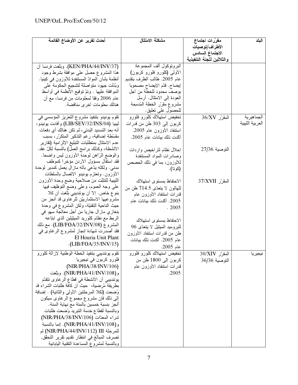| أحدث تقرير عن الأوضاع القائمة                    | مشكلة الامتثال                 | مقرّرات اجتماع                    | البلد           |
|--------------------------------------------------|--------------------------------|-----------------------------------|-----------------|
|                                                  |                                | الأطراف/توصيات                    |                 |
|                                                  |                                | الاجتماع السادس                   |                 |
|                                                  |                                | والثلاثين للجنة التنفيذية         |                 |
| (KEN/PHA/44/INV/37). وبلغت فرنسا أن              | البرونوكول ألف المجموعة        |                                   |                 |
| هذا المشروع حصل على موافقة بشرط وجود             | الأولىي (كلورو فلورو كربون)    |                                   |                 |
| أنظمة بشأن الموادّ المستنفدة للأوزون في كينيا.   | عام 2005. طالب الطرف بتقديم    |                                   |                 |
| وبُذَلت جهود متواصلة لتشجيع الحكومة على          | إيضاح. قدّم الإيضاح مصحوباً    |                                   |                 |
| الموافقة عليها . وتمَّ توقيع الأنظمة في أواسط    | بوصف محدود للخطة من أجل        |                                   |                 |
| عام 2006 وفقاً لمعلومات من فرنسا، مع أن          | العودة إلى الامتثال. أرسل      |                                   |                 |
| هنالك معلومات أخرى مناقضة.                       | مشروع مقرّر الخطة المُدمجة     |                                   |                 |
|                                                  | للحصول على نعليق.              |                                   |                 |
| نقوم يونيدو بنتفيذ مشروع النعزيز المؤسسي في      | نخفيض استهلاك كلورو فلورو      | $\overline{36}/\text{XV}$ المقرّر | الجماهيرية      |
| ليبيا (LIB/SEV/32/INS/04) وأفادت بونيدو ،        | كربون إلى 303 طن من قدرات      |                                   | العربية الليبية |
| أنه بعد التسديد البدئي، لم تكن هنالك أي دفعات    | استنفاد الأوزون عام 2005.      |                                   |                 |
| مقسّطة إضافية، رغم التذكير المتكرّر، بسبب        | أكّدت ذلك بيانات عام 2005.     |                                   |                 |
| عدم الامتثال بمنطلبات التبليغ الإلزامية (تقارير  |                                |                                   |                 |
| الأنشطة، وكذلك برامج العمل) بالنسبة لكلّ عقد.    | إحلال نظام لتراخيص واردات      | التوصية 27/36                     |                 |
| والوضع الرَّاهن لوحدة الأوزون ليس واضحاً.        | وصادرات المواد المستنفدة       |                                   |                 |
| فقد استقال مسؤول الأردن مؤخرأ كموظف              | للأوزون، بما في ذلك الحصص      |                                   |                 |
| مدني. ولكنّه يدّعي بأنّه ماز ال يعمل كمدير لوحدة | (كوتا).                        |                                   |                 |
| الأوزون. وتعتزم بونيدو الانصال بالسلطات          |                                |                                   |                 |
| الليبية للنثبُّت من صلاحية وضع وحدة الأوزون      | الاحتفاظ بمستوى استهلاك        | المقرّر 37/XVII                   |                 |
| علىي وجه العموم، وعلى وضع النوظيف فيها           | للـهالون لا يتعدّى 714.5 طن من |                                   |                 |
| بنو ع خاص. إلاَّ أن يوئنديبي بلَّغت أن كلا       | قدرات استنفاد الأوزون عام      |                                   |                 |
| مشروعيها الاستثمارييَّن للرغاوي قد أنجز من       | 2005. أَكَّدت ذلك بيانات عام   |                                   |                 |
| حيث الناحية النقنيَّة، ولكن المشروع في وحدة      | .2005                          |                                   |                 |
| بنغازي ماز ال جارياً من أجل معالجة سهو في        |                                |                                   |                 |
| الربط مع نظام كلوريد الميثيلين الذي ابتاعه       | الاحتفاظ بمستوى استهلاك        |                                   |                 |
| المشروع (LIB/FOA/32/INV/08). مع ذلك              | للبروميد الميثيل لا يتعدّى 96  |                                   |                 |
| فقد أصدرت شهادة إنجاز لمشروع الرغاوي في          | طن من قدرات استنفاد الأوزون    |                                   |                 |
| El Houria Unit Plant                             | عام 2005. أكدت نلك بيانات      |                                   |                 |
| (LIB/FOA/35/INV/15)                              | عام 2005.                      |                                   |                 |
| نقوم يوئنديبي بتنفيذ الخطة الوطنية لإزالة كلورو  | تخفيض استهلاك كلورو فلورو      | المقرّر 30/XIV                    | نيجيريا         |
| فلورو كربون في نيجيريا                           | كربون إلى 1800 طن من           | التوصية 36/36                     |                 |
| (NIR/PHA/38/INV/106)                             | قدرات استنفاد الأوزون عام      |                                   |                 |
| و (NIR/PHA/41/INV/108). وبلغت                    | .2005                          |                                   |                 |
| يوئنديبي أن الأنشطة في قطاع الرغاوي تتقدّم       |                                |                                   |                 |
| بطريقة مُرضية،  حيث أن كافة طلبات الشراء قد      |                                |                                   |                 |
| وُضعت (لكلا المرحلتين الأولى والثانية) . إضافة   |                                |                                   |                 |
| إلىي ذلك فإن مشروع مجموع الرغاوي سيكون           |                                |                                   |                 |
| أنجز بنسبة خمسين بالمئة مع نهاية السنة.          |                                |                                   |                 |
| وبالنسبة لقطاع خدمة التبريد وضعت طلبات           |                                |                                   |                 |
| شراء المعدّات (NIR/PHA/38/INV/106)               |                                |                                   |                 |
| و (NIR/PHA/41/INV/108). إنما بالنسبة             |                                |                                   |                 |
| للمرحلة [11/NIR/PHA/44/INV/112] لم               |                                |                                   |                 |
| تصرف المبالغ في انتظار نقديم تقرير التحقق,       |                                |                                   |                 |
| وبالنسبة لمشر وع المساعدة التقنية اليابانية      |                                |                                   |                 |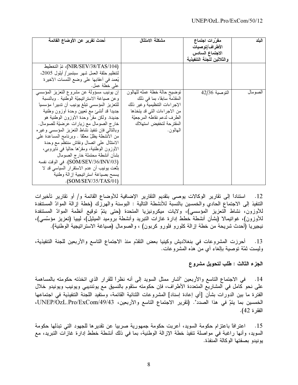| أحدث تقرير عن الأوضاع القائمة                   | مشكلة الامتثال               | مقرّرات اجتماع            | اليلد   |
|-------------------------------------------------|------------------------------|---------------------------|---------|
|                                                 |                              | الأطراف/توصيات            |         |
|                                                 |                              | الاجتماع السادس           |         |
|                                                 |                              | والثلاثين للجنة التنفيذية |         |
| (NIR/SEV/38/TAS/104)، تمّ التخطيط               |                              |                           |         |
| لنتظيم حلقة العمل شهر سبتمبر/ أيلول 2005،       |                              |                           |         |
| يُعمد في أعقابها على وضع اللمسات الأخيرة        |                              |                           |         |
| على خطة عمل.                                    |                              |                           |         |
| إن يونيب مسؤولة عن مشروع التعزيز المؤسسي        | توضيح حالة خطة عمله للهالون  | التوصية 42/36             | الصومال |
| وعن صياغة الاستراتيجيّة الوطنية . وبالنسبة      | المقدّمة سابقاً، بما في ذلك  |                           |         |
| للتعزيز المؤسسي تبلغ يونيب أن تدبيرا مؤسسياً    | الإجراءات التنظيمية وغير ذلك |                           |         |
| جديداً قد أنشئ مع نعيين وحدة أوزون وطنية        | من الاجراءات التي قد يتخذها  |                           |         |
| جديدة. ولكن مقرّ وحدة الأوزون الوطنية هو        | الطرف لدعم نقاطه المرجعيّة   |                           |         |
| خارج الصومال مع زيارات عَرَضيّة للصومال.        | المقترحة لتخفيض استهلاك      |                           |         |
| وبالنالمي فان ننفيذ نشاط النعزيز المؤسسي وغيره  | الـهالمون.                   |                           |         |
| من الأنشطة يظلّ معلّقاً . وبرنامج المساعدة علمي |                              |                           |         |
| الامتثال علمي انصال ونقاش منتظم مع وحدة         |                              |                           |         |
| الأوزون الوطنية، ومقرَّها حالياً في نايروبي،    |                              |                           |         |
| بشأن أنشطة محتملة خارج الصومال                  |                              |                           |         |
| (SOM/SEV/36/INV/03). في الوقت نفسه              |                              |                           |         |
| بلغت يونيب أن عدم الاستقرار السياسي قد لا       |                              |                           |         |
| يسمح بصياغة استرانيجية إزالة وطنية              |                              |                           |         |
| $\cdot$ (SOM/SEV/35/TAS/01)                     |                              |                           |         |

استناداً إلى تقارير الوكالات يوصى بتقديم التقارير الإضافية للأوضاع القائمة و/ أو تقارير تأخيرات  $.12$ التنفيذ إلى الاجتماع الحادي والخمسين بالنسبة للأنشطة التالية : البوسنة والهرزك (خطة إزالة الموادّ المستنفدة للأوزون، نشاط التعزيز المؤسسي)، ولايات ميكرونيزيا المتحدة (حتى يتمّ توقيع أنظمة الموادّ المستنفدة للأوزون)، غواتيمالا (بشأن أنشطة خطط إدارة غازات النبريد وأنشطة بروميد الميثيل)، ليبيا (تعزيز مؤسَّسي)، نيجيريا (أحدث شريحة من خطة إزالة كلورو فلورو كربون) ، والصومال (صياغة الاستراتيجية الوطنية).

أحرزت المشروعات في بنغلاديش وكينيا بعض التقدّم منذ الاجتماع التاسع والأربعين للجنة التنفيذية،  $\overline{13}$ وليست ثمّة نوصية بالغاء أي من هذه المشروعات.

الجزء الثالث : طلب لتحويل مشروع

14. في الاجتماع التاسع والأربعين "أشار ممثل السويد إلى أنه نظراً للقرار الذي اتخذته حكومته بالمساهمة على نحو كامل في المشاريع المتعددة الأطراف، فإن حكومته ستقوم بالنسيق مع يوئنديبي ويونيب ويونيدو خلال الفترة ما بين الدورات بشأن [أي إعادة إسناد] المشروعات الثنائية القائمة، وستفيد اللجنة التنفيذية في اجتماعها الخمسين بما يتمّ في هذا الصدد". (تقرير الاجتماع التاسع والأربعين، UNEP/OzL.Pro/ExCom/49/43، الفقر ة 42).

اعترافاً باعتزام حكومة السويد، أعربت حكومة جمهورية صربيا عن تقديرها للجهود التي تبذلها حكومة  $\cdot$ 15 السويد، وأنها راغبة في مواصلة تنفيذ خطة الإزالة الوطنية، بما في ذلك أنشطة خطط إدارة غازات التبريد، مع يونيدو بصفتها الوكالة المنفذة.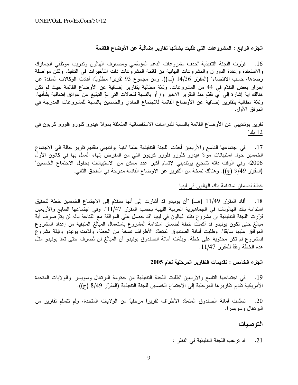الجزء الرابع : المشروعات التي طُلبت بشأنها تقارير إضافية عن الأوضاع القائمة

16. قرَّرت اللجنة التنفيذية "حذف مشروعات الدعم المؤسَّسي ومصارف الهالون وتدريب موظفي الجمارك والاستعادة وإعادة الدوران والمشروعات البيانية من قائمة المشروعات ذات التأخيرات في التنفيذ، ولكن مواصلة رصدها، حسب الاقتضاء" (المقرّر 14/36 (ب)). ومن مجموع 93 نقريراً مطلوباً، أفادت الوكالات المنفذة عن إحراز بعض التقدّم في 44 من المشروعات. وثمّة مطالبة بتقارير إضافية عن الأوضاع القائمة حيث لم تكن هنالك أية إشارة إلى أي تقدّم منذ التقرير الأخير و/ أو بالنسبة للحالات التي تمّ التبليغ عن عوائق إضافية بشأنها. وثمّة مطالبة بتقارير إضافية عن الأوضاع القائمة للاجتماع الحادي والخمسين بالنسبة للمشروعات المدرجة في المعر فق الأول.

تقرير يوئنديبي عن الأوضاع القائمة بالنسبة للدراسات الاستقصائية المتعلقة بموادّ هيدرو كلورو فلورو كربون في 12 بلداً

17. في اجتماعها التاسع والأربعين أخذت اللجنة التتفيذية علما "بنية يوئنديبي بتقديم تقرير حالة إلى الاجتماع الخمسين حول استبيانات موادّ هيدرو كلورو فلورو كربون التي من المفرض إنهاء العمل بها في كانون الأول 2006، وفي الوقت ذاته تشجيع يوئنديبي لإتمام أكبر عدد ممكن من الاستبيانات بحلول الاجتماع الخمسين" (المقرّر 9/49 (ج)). وهنالك نسخة من التقرير عن الأوضاع القائمة مدرجة في الملحق الثاني.

## خطة لضمان استدامة بنك الهالون في ليبيا

أفاد المقرِّر 11/49 (هــ) "أن يونيدو قد أشارت إلى أنها ستقدَّم إلى الاجتماع الخمسين خطة لتحقيق  $\overline{.18}$ استدامة بنك الهالونات في الجماهيرية العربية الليبية بحسب المقرّر 11/47". وفي اجتماعها السابع والأربعين قرَّرت اللجنة التنفيذية أن مشروع بنك الهالون في ليبيا "قد حصل على الموافقة مع القناعة بأنَّه لن يتمّ صرف أية مبالغ حتى تكون يونيدو قد أكملت خطة لضمان استدامة المشروع باستعمال المبالغ المتبقية من إعداد المشروع الموافق عليها سابقا". وطلبت أمانة الصندوق المتعدّد الأطراف نسخة من الخطة، وقدّمت يونيدو وثيقة مشروع للمشروع لم تكن محتوية على خطة. وبلغت أمانة الصندوق يونيدو أن المبالغ لن تُصرف حتى تعدّ يونيدو مثل هذه الخطة وفقاً للمقرّر 11/47.

الجزء الخامس : تقديمات التقارير المرحلية لعام 2005

في اجتماعها التاسع والأربعين "طلبت اللجنة التنفيذية من حكومة البرتغال وسويسرا والولايات المتحدة  $\cdot$ 19 الأمريكية تقديم تقارير ها المرحلية إلى الاجتماع الخمسين للجنة التنفيذية (المقرّر 8/49 (ج)).

تسلَّمت أمانة الصندوق المتعدَّد الأطراف تقريراً مرحلياً من الولايات المتحدة، ولم تتسلَّم تقارير من  $.20$ البرتغال وسويسرا.

## التوصيات

قد ترغب اللجنة التنفيذية في النظر :  $.21$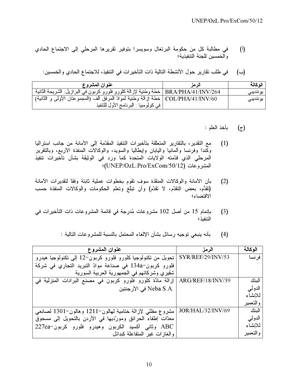- في مطالبة كل من حكومة البرتغال وسويسرا بتوفير نقريرها المرحلي إلى الاجتماع الحادي  $\binom{1}{k}$ والخمسين للجنة التنفيذية؛
	- في طلب تقارير حول الأنشطة التالية ذات التأخيرات في التنفيذ، للاجتماع الحادي والخمسين: (ب)

| عنوان المشروع                                                                        | الز مزّ | الوكالة  |
|--------------------------------------------------------------------------------------|---------|----------|
| BRA/PHA/41/INV/264   خطة وطنية لإزالة كلورو فلورو كربون في البرازيل: الشريحة الثانية |         | يوئنديبي |
| COL/PHA/41/INV/60   خطة إزالة وطنية لموادّ المرفق ألف (المجموعتان الأولى و الثانية)  |         | يوئنديبي |
| في كولومبيا : البرنامج الأول للتنفيذ                                                 |         |          |

- بأخذ العلم :  $(\tilde{\epsilon})$
- مع التقدير ، بالتقارير المتعلِّقة بتأخيرات التنفيذ المقدَّمة إلى الأمانة من جانب استراليا  $(1)$ وكمندا وفرنسا وألمانيا واليابان وإيطاليا والسويد، والوكالات المنفذة الأربع، وبالنقرير المرحلي الذي قدّمته الولايات المتحدة كما ورد في الوثيقة بشأن تأخيرات تنفيذ المشروعات (UNEP/OzL.Pro/ExCom/50/12)؛
- بأن الأمانة والوكالات المنقذة سوف تقوم بخطوات عملية ثابتة وفقا لتقديرات الأمانة  $(2)$ (نقدَّم، بعض التقدّم، لا تقدّم) وأن تبلّغ وتعلَّم الحكومات والوكالات المنفذة حسب الاقتضاء؛
- بإتمام 15 من أصل 102 مشروعات مُدرجة في قائمة المشروعات ذات التأخيرات في  $(3)$ التنفيذ ؛

| عنوان المشروع                                                                   | الرمز             | الوكالة  |
|---------------------------------------------------------------------------------|-------------------|----------|
| SYR/REF/29/INV/53   تحويل من تكنولوجيا كلورو فلورو كربون−12 إلى تكنولوجيا هيدرو |                   | فر نسا   |
| فلورو كربون <sup>-</sup> 134a في صناعة موادّ النبريد النجاري في شركة            |                   |          |
| شقيري وشركائهم في الجمهورية العربية السورية                                     |                   |          |
| ARG/REF/18/INV/39   إزالة مادّة كلورو فلورو كربون في مصنع البرادات المنزلية في  |                   | الننك    |
| .Neba S.A في الأرجنتين                                                          |                   | الدولي   |
|                                                                                 |                   | للانشاء  |
|                                                                                 |                   | والتعمير |
| مشروع مظلي لإزالة ختامية لمهالون–1211 وهالون–1301 لصانعي                        | JOR/HAL/32/INV/69 | الننك    |
| معدّات إطفاء الحرائق ومورديها في الأردن بالتحويل إلى مسحوق                      |                   | الدولمي  |
| ABC وثاني أكسيد الكربون وهيدرو فلورو كربون-227ea                                |                   | للانشاء  |
| والغازات غير المتفاعلة كبدائل                                                   |                   | والتعمير |

بأنه ينبغي توجيه رسائل بشأن الإلغاء المحتمل بالنسبة للمشروعات التالية :  $(4)$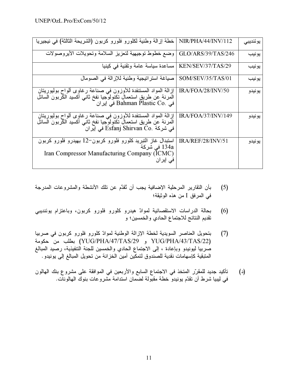| خطة إزالة وطنية لكلورو فلورو كربون (الشريحة الثالثة) في نيجيريا                                                                                                            | NIR/PHA/44/INV/112 | يوننديبى |
|----------------------------------------------------------------------------------------------------------------------------------------------------------------------------|--------------------|----------|
| وضع خطوط توجيهية لتعزيز السلامة وتحويلات الأيروصولات                                                                                                                       | GLO/ARS/39/TAS/246 | يونيب    |
| مساعدة سياسة عامة وتقنية في كينيا                                                                                                                                          | KEN/SEV/37/TAS/29  | يونيب    |
| صياغة استراتيجية وطنية للإزالة في الصومال                                                                                                                                  | SOM/SEV/35/TAS/01  | يونيب    |
| إزالة المواد المستنفدة للأوزون في صناعة رغاوى ألواح بوليوريتان<br>المرنة عن طريق استعمال نكنولوجيا نفخ ثانبي أكسيد الكّربون السائل<br>في إيران Bahman Plastic Co. في       | IRA/FOA/28/INV/50  | يونيدو   |
| إزالة المواد المستنفدة للأوزون في صناعة رغاوى ألواح بوليوريتان<br>المرنة عن طريق استعمال تكنولوجيا نفخ ثاني أكسيد الكربون السائل<br>في شركة ّ Esfanj Shirvan Co. في إيرانَ | IRA/FOA/37/INV/149 | يونيدو   |
| استبدال غاز التبريد كلورو فلورو كربون–12 بهيدرو فلورو كربون<br>134a في شركة<br>Iran Compressor Manufacturing Company (ICMC)<br>فی اٍیر ان                                  | IRA/REF/28/INV/51  | يونيدو   |

- بأن النقارير المرحلية الإضافية يجب أن تُقدَّم عن تلك الأنشطة والمشروعات المدرجة  $(5)$ في المر فق I من هذه الوثيقة؛
- بحالة الدراسات الاستقصائية لموادّ هيدرو كلورو فلورو كربون، وباعتزام يوئنديبي  $(6)$ تقديم النتائج للاجتماع الحادي والخمسين؛ و
- بتحويل العناصر السويدية لخطة الإزالة الوطنية لموادّ كلورو فلورو كربون في صربيا  $(7)$ YUG/PHA/43/TAS/22) و YUG/PHA/47/TAS/29) بطلب من حكومة صربيا ليونيدو وبإعادة ، إلى الاجتماع الحادي والخمسين للجنة التنفيذية، رصيد المبالغ المتبقية كإسهامات نقدية للصندوق لتمكين أمين الخزانة من تحويل المبالغ إلى يونيدو .
- تأكيد جديد للمقرّر المتخذ في الاجتماع السابع والأربعين في الموافقة على مشروع بنك الهالون  $(\iota)$ في ليبيا شرط أن نقدّم يونيدوٌ خطة مقبّولة لضّمان استدامة مشروعات بنوك المهالونات.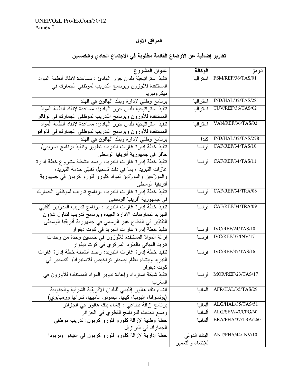# المرفق الأول

| عنوان المشروع                                                                 | الوكالة          | الرمز                          |
|-------------------------------------------------------------------------------|------------------|--------------------------------|
| تنفيذ استراتيجيّة بلدان جزر المهادئ : مساعدة لإنفاذ أنظمة المواد              | استر اليا        | FSM/REF/36/TAS/01              |
| المستنفدة للأوزون وبرنامج التدريب لموظفي الجمارك في                           |                  |                                |
| ميكر ونيزيا                                                                   |                  |                                |
| برنامح وطني لإدارة وبنك المهالون في المهند                                    | استراليا         | IND/HAL/32/TAS/281             |
| تنفيذ استراتيجية بلدان جزر المهادئ: مساعدة لإنفاذ أنظمة الموادّ               | استر اليا        | TUV/REF/36/TAS/02              |
| المستنفدة للأوزون وبرنامج التدريب لموظفي الجمارك في توفالو                    |                  |                                |
| تنفيذ استراتيجيّة بلدان جزر الهادئ: مساعدة لإنفاذ أنظمة المواد                | استر اليا        | VAN/REF/36/TAS/02              |
| المستنفدة للأوزون وبرنامج التدريب لموظفي الجمارك في فانواتو                   |                  |                                |
| برنامج وطني لإدارة وبنك الهالون في الهند                                      | كندا             | IND/HAL/32/TAS/278             |
| تنفيذ خطة إدارة غازات النبريد: تطوير وتنفيذ برنامج ضريبي/                     | فر نسا           | CAF/REF/34/TAS/10              |
| حافز في جمهورية أفريقيا الوسطى                                                |                  |                                |
| تنفيذ خطة إدارة غازات النبريد: رصد أنشطة مشروع خطة إدارة                      | فر نسا           | CAF/REF/34/TAS/11              |
| غازات التبريد ، بما في ذلك تسجيل تقنيّي خدمة التبريد،                         |                  |                                |
| والموزَّعين والمورَّدين لمواد كلورو فلورو كربون في جمهورية                    |                  |                                |
| أفريقيا الوسطى                                                                |                  |                                |
| تنفيذ خطَّة إدارة غازات التبريد: برنامج تدريب لموظفي الجمارك                  | فر نسا           | CAF/REF/34/TRA/08              |
| في جمهورية أفريقيا الوسطى                                                     |                  |                                |
| تنفيذ خطة إدار ة غازات التبريد : برنامج تدريب المدرّبين لتقنيّي               | فر نسا           | CAF/REF/34/TRA/09              |
| التبريد لممارسات الإدارة الجيدة وبرنامج تدريب لتناول شؤون                     |                  |                                |
| النقنيّين في القطاع غير الرسمي في جمهورية أفريقيا الوسطى                      |                  |                                |
| تنفيذ خطة إدار ة غازات التبريد في كوت ديفوار                                  | فرنسا            | IVC/REF/24/TAS/10              |
| إزالة الموادّ المستنفدة للأوزون في خمسين وحدة من وحدات                        | فر نسا           | IVC/REF/37/INV/17              |
| تبريد المبانى بالطرد المركزي في كوت ديفوار                                    |                  |                                |
| تنفيذ خطة إدار ة غازات التبريد: رصد أنشطة خطة إدار ة غازات                    | فر نسا           | IVC/REF/37/TAS/16              |
| التيريد وإنشاء نظام إصدار تراخيص للاستيراد/ التصدير في                        |                  |                                |
| كوت ديفوار                                                                    |                  |                                |
| تنفيذ شبكة استرداد وإعادة تدوير المواد المستنفدة للأوزون في                   | فر نسا           | MOR/REF/23/TAS/17              |
| المغرب                                                                        |                  |                                |
| إنشاء بنك هالون إقليمي للبلدان الأفريقية الشرقية والجنوبية                    | ألمانيا          | AFR/HAL/35/TAS/29              |
| (بونسوانا، إثيوبيا، كينيا، ليسونو، ناميبيا، تنزانيا وزمبابوي)                 |                  |                                |
| بَرْنَامَجَ إِزْالَةَ قَطَاعَى : إِنْشَاءِ بِنَكَ هَالُونَ فِي الْجَزِائِرِ   | ألمانيا          | ALG/HAL/35/TAS/51              |
| وضع تحديث للبرنامج القطري في الجز ائر                                         | ألمانيا          | ALG/SEV/43/CPG/60              |
| خطة وطنية لإزالة كلورو فلورو كربون: تدريب موظفى                               | ألمانيا          | BRA/PHA/37/TRA/260             |
|                                                                               |                  |                                |
| الجمارك في البرازيل<br>خطة إدارية لإزالة كلورو فلورو كربون في أنتيغوا وبربودا |                  | ANT/PHA/44/INV/10 البنك الدولي |
|                                                                               | للإنشاء والتعمير |                                |

# تقارير إضافية عن الأوضاع القائمة مطلوبة في الاجتماع الحادي والخمسين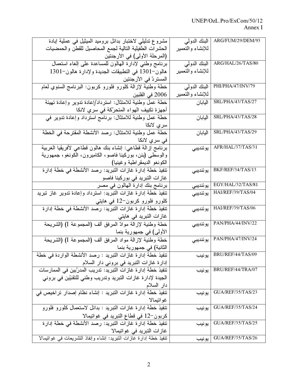| مشروع تدلیلی لاختبار بدائل برومید المیثیل فی عملیة اِبادة          | البنك الدولي     | ARG/FUM/29/DEM/93         |
|--------------------------------------------------------------------|------------------|---------------------------|
| الحشرات الطفيلية التالية لجمع المحاصيل للقطن والحمضيات             | للإنشاء والتعمير |                           |
| (المرحلة الأولى) في الأرجنتين                                      |                  |                           |
| برنامج وطني لإدارة المهالون للمساعدة على إلغاء استعمال             | البنك الدولى     | ARG/HAL/26/TAS/80         |
| هالون–1301 في التطبيقات الجديدة ولإدارة هالون–1301                 | للإنشاء والتعمير |                           |
| المستردّ في الأرجنتين                                              |                  |                           |
| خطة وطنية لإزالة كلورو فلورو كربون: البرنامج السنوي لعام           | البنك الدولى     | PHI/PHA/47/INV/79         |
| 2006 في الفلبين                                                    | للإنشاء والتعمير |                           |
| خطة عمل وطنية للامتثال: استرداد/إعادة تدوير وإعادة تهيئة           | اليابان          | SRL/PHA/43/TAS/27         |
| أجهز ة تكييف الهواء المتحرّكة في سر ي لانكا                        |                  |                           |
| خطة عمل وطنية للامتثال: برنامج استرداد وإعادة تدوير في             | اليابان          | SRL/PHA/43/TAS/28         |
| سر <i>ي</i> لانكا                                                  |                  |                           |
| خطة عمل وطنية للامتثال: رصد الأنشطة المقترحة في الخطة              | اليابان          | SRL/PHA/43/TAS/29         |
| في سري لانكا                                                       |                  |                           |
| برنامج إزالة قطاعي: إنشاء بنك هالون قطاعي لأفريقيا الغربية         | يوئنديبي         | AFR/HAL/37/TAS/31         |
| والوسطى (بنن، بوركينا فاصو، الكاميرون، الكونغو، جمهورية            |                  |                           |
| الكونغو الديمقراطية وغينيا)                                        |                  |                           |
| تنفيذ خطة إدار ة غازات التبريد: رصد الأنشطة في خطة إدار ة          | يوئنديبي         | BKF/REF/34/TAS/13         |
| غاز ات التبريد في بوركينا فاصو                                     |                  |                           |
| برنامج بنك إدارة المهالون في مصر                                   | يوئنديبي         | EGY/HAL/32/TAS/81         |
| تنفيذ خطة إدارة غازات التبريد: استرداد وإعادة تدوير غاز تبريد      | يوئنديبي         | HAI/REF/39/TAS/04         |
| كلورو فلورو كربون−12 في هايتي                                      |                  |                           |
| تنفيذ خطة إدار ة غازات التبريد: رصد الأنشطة في خطة إدارة           | يوئنديبي         | HAI/REF/39/TAS/06         |
| غاز ات التبريد في هايتي                                            |                  |                           |
| خطة وطنية لإزالة موادّ المرفق ألف (المجموعة I) (الشريحة            | يوئنديبي         | PAN/PHA/44/INV/22         |
| الأولى) في جمهورية بنما                                            |                  |                           |
| خطة وطنية لإزالة مواد المرفق ألف (المجموعة I) (الشريحة             | يوئنديبي         | PAN/PHA/47/INV/24         |
| الثانية) في جمهورية بنما                                           |                  |                           |
| تنفيذ خطة إدارة غازات التبريد : رصد الأنشطة الواردة في خطة         |                  | BRU/REF/44/TAS/09   يونيب |
| إدار ة غاز ات التبريد في بروني دار السلام                          |                  |                           |
| تتفيذ خطة إدار ة غاز اتّ التبريدّ: تدريب المدرّبين في الممارسات    | يونيب            | BRU/REF/44/TRA/07         |
| الجيدة لإدارة غازات التبريد وتدريب وطني للتقنيّين في بروني         |                  |                           |
| دار السلام                                                         |                  |                           |
| تنفيذ خطة إدارة غازات التبريد : إنشاء نظام إصدار تراخيص في         | يونيب            | GUA/REF/35/TAS/23         |
| غواتيمالا                                                          |                  |                           |
| تنفيذ خطة إدارة غازات التبريد : بدائل لاستعمال كلورو فلورو         | يونيب            | GUA/REF/35/TAS/24         |
| كربون–12 في قطاع التبريد في غواتيمالا                              |                  |                           |
| تنفيذ خطة إدارة غازات التبريد: رصد الأنشطة في خطة إدارة            | يونيب            | GUA/REF/35/TAS/25         |
| غاز ات التبريد في غواتيمالا                                        |                  |                           |
| تنفيذ خطة إدارة غازات النبريد: إنشاء وإنفاذ النشريعات في غواتيمالا | يونيب            | GUA/REF/35/TAS/26         |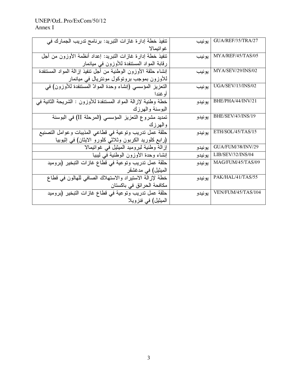| تنفيذ خطة إدار ة غاز ات التبريد: برنامج تدريب الجمارك في                          | يونيب   | GUA/REF/35/TRA/27        |
|-----------------------------------------------------------------------------------|---------|--------------------------|
| غو اتيمالا                                                                        |         |                          |
| تنفيذ خطة إدارة غازات النبريد: إعداد أنظمة الأوزون من أجل                         | يونيب   | MYA/REF/45/TAS/05        |
| رقابة المواد المستنفدة للأوزون في ميانمار                                         |         |                          |
| إنشاء حلقة الأوزون الوطنية من أجل تنفيذ إزالة المواد المستنفدة                    | يو نيب  | MYA/SEV/29/INS/02        |
| للاوزون بموجب بروتوكول مونتريال في ميانمار                                        |         |                          |
| الْتَعْزِيْزِ الْمُؤْسِسِي (إنشاء وحدة الْمُوادّ الْمُسْتَنْفِذَة لْلأُوزُونِ) في | يونيب   | UGA/SEV/13/INS/02        |
| أو غندا                                                                           |         |                          |
| خطة وطنية لإزالة المواد المستنفدة للأوزون : الشريحة الثانية في                    | يونيدو  | BHE/PHA/44/INV/21        |
| البوسنة والهرزك                                                                   |         |                          |
| تمديد مشروع التعزيز المؤسسي (المرحلة II) في البوسنة                               | يونيدو  | BHE/SEV/43/INS/19        |
| والهرزك                                                                           |         |                          |
| حلقة عمل تدريب وتوعية في قطاعي المذيبات وعوامل التصنيع                            | يونيدو  | ETH/SOL/45/TAS/15        |
| (رابع كلوريد الكربون وثلاثي كلورو الايثان) في إثيوبيا                             |         |                          |
| إزالة وطنية لبروميد الميثيل في غواتيمالا                                          | يونيدو  | GUA/FUM/38/INV/29        |
| إنشاء وحدة الأوزون الوطنية في ليبيا                                               | يونيدو  | <b>LIB/SEV/32/INS/04</b> |
| حلقة عمل تدريب وتوعية في قطاع غازات التبخير (بروميد                               | يو نيدو | MAG/FUM/45/TAS/09        |
| الميثيل) في مدغشقر                                                                |         |                          |
| خطة لإزالة الاستيراد والاستهلاك الصافى للهالون في قطاع                            | يونيدو  | PAK/HAL/41/TAS/55        |
| مكافحة الحر ائق في باكستان                                                        |         |                          |
| حلقة عمل تدريب وتوعية في قطاع غازات التبخير (بروميد                               | يونيدو  | VEN/FUM/45/TAS/104       |
| الميثيل) في فنزويلا                                                               |         |                          |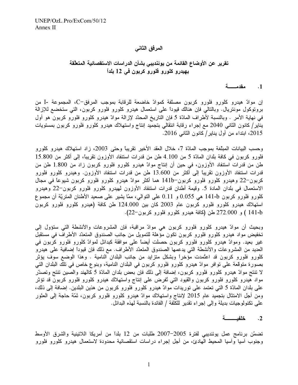## المرفق الثاني

# تقرير عن الأوضاع القائمة من يوئنديبي بشأن الدراسات الاستقصائية المتعلّقة بهيدرو كلورو فلورو كربون في 12 بلداً

#### مقدمـــــة  $\cdot$ .1

إن موادّ هيدرو كلورو فلورو كربون مصنّفة كموادّ خاضعة للرقابة بموجب المرفق–C، المجموعة -I من برونوكول مونتريال. وبالتالي فإن هنالك قيوداً على استعمال هيدرو كلورو فلورو كربون، التي ستخضع للإزالة في نهاية الأمر . وبالنسبة لأطراف المادّة 5 فإن التاريخ المحدّد لإزالة موادّ هيدرو كلورو فلورو كربون هو أول يناير/ كانون الثاني 2040 مع إجراء رقابة انتقالي بتجميد إنتاج واستهلاك هيدرو كلورو فلورو كربون بمستويات 2015، ابتداء من أول يناير/ كانون الثانبي 2016.

وحسب البيانات المبلَّغة بموجب المادَّة 7، خلال العقد الأخير نقريبًا وحتى 2003، زاد استهلاك هيدرو كلورو فلورو كربون في كافة بلدان المادّة 5 من 4.100 طن من قدرات استنفاد الأوزون تقريبًا، إلى أكثر من 15.800 طن من قدرات استنفاد الأوزون، في حين أن إنتاج موادّ هيدرو كلورو فلورو كربون زاد من 1.800 طن من قدرات استنفاد الأوزون تقريبًا إلى أكثر من 13.600 طن من قدرات استنفاد الأوزون. وهيدرو كلورو فلورو کربون–22 وهیدرو کلورو فلورو کربون–141b هما أکثر موادّ هیدرو کلورو فلورو کربون شیوعاً فی مجال الاستعمال في بلدان المادة 5. وقيمة أطنان قدرات استنفاد الأوزون لمهيدرو كلورو فلورو كربون–22 وهيدرو كلورو فلورو كربون 141-b هي 0.055 و 0.11 على النوالي، ممّا يشير على صعيد الأطنان المنزيّة أن مجموع استهلاك هيدرو كلورو فلورو كربون عام 2003 كان بين 124.000 طن كافة (هيدرو كلورو فلورو كربون 141-b ) و 272.000 طن (كافة هيدرو كلورو فلورو كربون-22).

وبحيث أن موادّ هيدرو كلورو فلورو كربون هي موادّ مراقبة، فإن المشروعات والأنشطة التي ستؤول إلى تخفيض مواد هيدرو كلورو فلورو كربون تكون مؤهلة للتمويل من جانب الصندوق المتعدّد الأطراف في مستقبل غير بعيد. وموادّ هيدرو كلورو فلورو كربون حصلت أيضاً على موافقة كبدائل لموادّ كلورو فلورو كربون في العديد من المشروعات والأنشطة التي يدعمها الصندوق المتعدّد الأطراف. مع ذلك فإن قيوداً إضافية على هيدرو كلورو فلورو كربون قد اعتُمدت مؤخراً وبشكل متزايد من جانب البلدان النامية . وهذا الوضع سوف يؤثر بصورة متوقعة على نوافر موادّ هيدرو كلورو فلورو كربون في البلدان النامية، وبنوع خاص في تلك البلدان التي لا تنتج موادّ هيدرو كلورو فلورو كربون، إضافة إلى ذلك فإن بعض بلدان المادّة 5 كالمهند والصين تنتج وتصدّر مواد هيدرو كلورو فلورو كربون والقيود التبي ئفرض علمي إنتاج واستهلاك هيدرو كلورو فلورو كربون قد تؤثر علَّى بلدان المادَّة 5 التي تعتمد علَّى توريدات موادَّ هيدرو كلورو فلورو كربون من هذين البلدين. إضافة إلى ذلك، ومن أجل الامتثال بتجميد عام 2015 لإنتاج واستهلاك موادّ هيدرو كلورو فلورو كربون، ثمّة حاجة إلى العثور على تكنولوجيات بديلة وإلى إجراء تقدير للكلفة / الفائدة بالنسبة لهذه البدائل.

#### $\cdot$ <sup>2</sup>

تضمّن برنامج عمل يوئنديبي لفترة 2005–2007 طلبات من 12 بلداً من أمريكا اللاتينية والشرق الأوسط وجنوب آسيا وآسيا المحيط الَّهادئ، من أجل إجراء دراسات استقصائية محدودة لاستعمال هيدرو كلورو فلورو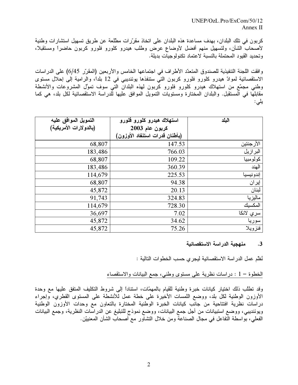$UNEP/OzL$  Pro/ExCom/50/12 Annex II

كربون في تلك البلدان، بهدف مساعدة هذه البلدان على اتخاذ مقرَّرات مطلعة عن طريق تسهيل استشارات وطنية لأصحاب الشأن، ولتسهيل منهم أفضل لأوضاع عرض وطلب هيدرو كلورو فلورو كربون حاضراً ومستقبلاً، وتحديد القيود المحتملة بالنسبة لاعتماد تكنولوجيات بديلة.

وافقت اللجنة التنفيذية للصندوق المتعدّد الأطراف في اجتماعها الخامس والأربعين (المقرّر 6/45) على الدراسات الاستقصائية لموادّ هيدرو كلورو فلورو كربون التي ستنفذها يوئنديبي في 12 بلدًا، والرامية إلى إحلال مستوى وطنبي مجمّع من استهلاك هيدرو كلورو فلورو كربون لهذه البلدان التبي سوف تموَّل المشروعات والأنشطة مقابلها في المستقبل. والبلدان المختارة ومستويات التمويل الموافق عليها للدراسة الاستقصائية لكل بلد، هي كما يلى:

| التمويل الموافق عليه<br>(بالدولارات الأمريكية) | استهلاك هيدرو كلورو فلورو                        | البلد      |
|------------------------------------------------|--------------------------------------------------|------------|
|                                                | كربون عام 2003<br>(بأطنان قدرات استنفاد الأوزون) |            |
| 68,807                                         | 147.53                                           | الأرجنتين  |
| 183,486                                        | 766.03                                           | البر از يل |
| 68,807                                         | 109.22                                           | كولومبيا   |
| 183,486                                        | 360.39                                           | الهند      |
| 114,679                                        | 225.53                                           | إندونيسيا  |
| 68,807                                         | 94.38                                            | إير ان     |
| 45,872                                         | 20.13                                            | لبنان      |
| 91,743                                         | 324.83                                           | ماليزيا    |
| 114,679                                        | 728.30                                           | المكسيك    |
| 36,697                                         | 7.02                                             | سري لانكا  |
| 45,872                                         | 34.62                                            | سوريا      |
| 45,872                                         | 75.26                                            | فنزويلا    |

منهجية الدراسة الاستقصائية  $\cdot$ .3

نُظَّم عمل الدراسة الاستقصائية ليجر ي حسب الخطوات التالية :

الخطوة – 1 : در اسات نظرية على مستوى وطنبي، جمع البيانات والاستقصاء

وقد تطلَّب ذلك اختيار كيانات خبرة وطنية للقيام بالمهمَّات، استناداً إلى شروط التكليف المتفق عليها مع وحدة الأوزون الوطنية لكل بلد، ووضع اللمسات الأخيرة على خطة عمل للأنشطة على المستوى القطري، وإجراء دراسات نظرية افتتاحية من جانّب كيانات الخبرة الوطنية المختارة بالتعاون مع وحدات الأوزون الوطنية ويوئنديبي، ووضع استبيانات من أجل جمع البيانات، ووضع نموذج للتبليغ عن الدراسات النظرية، وجمع البيانات الفعلي، بواسطة النفاعل في مجال الصناعة ومن خلال التشاور مع أصحاب الشأن المعنييّن.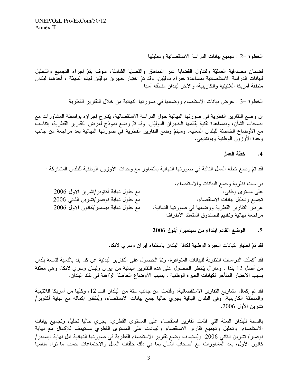### الخطوة –2 : تجميع بيانات الدر اسة الاستقصائية وتحليلها

لضمان مصداقية العمليّة ولتناول القضايا عبر المناطق والقضايا الشاملة، سوف يتمّ إجراء التجميع والتحليل لبيانات الدراسة الاستقصائية بمساعدة خبراء دوليّين. وقد تمّ اختيار خبيرين دوليَّين لمهذه المهمّة ، أحدهما لبلدان منطقة أمريكا اللاتينية والكاريبية، والآخر لبلدان منطقة آسيا.

الْخطوة −3 : عرض بيانات الاستقصاء ووضعها في صورتها النهائية من خلال التقارير القطرية

إن وضع النقارير القطرية في صورتها النهائية حول الدراسة الاستقصائية، يُقترح إجراؤه بواسطة المشاورات مع أصـحاب الشأن، وبمساعدة نقنية يقدّمها الخبيران الدوليّان. وقد تمّ وضـع نموذج لعرض التقارير القطرية، يتناسب مع الأوضاع الخاصَّة للبلدان المعنية. وسيتمَّ وضع التقارير القطرية في صورتها النهائية بعد مراجعة من جانب وحدة الأوزون الوطنية ويوئنديبي.

#### خطة العمل  $\cdot$ 4

لقد تمّ وضع خطة العمل النالية في صورتها النهائية بالتشاور مع وحدات الأوزون الوطنية للبلدان المشاركة :

|                                        | دراسات نظرية وجمع البيانات والاستقصاء،          |
|----------------------------------------|-------------------------------------------------|
| مع حلول نهاية أكتوبر/تشرين الأول 2006  | علمی مستوی وطنبی:                               |
| مع حلول نهاية نوفمبر/تشرين الثاني 2006 | تجميع وتحليل بيانات الاستقصاء:                  |
| مع حلول نهاية ديسمبر/كانون الأول 2006  | عرض التقارير القطرية ووضعها في صورتها النهائية: |
|                                        | مراجعة نهائية وتقديم للصندوق المتعدّد الأطراف   |

### الوضع القائم ابتداء من سبتمبر/ أيلول 2006  $.5$

لقد تمّ اختيار كيانات الخبرة الوطنية لكافة البلدان باستثناء إيران وسرى لانكا.

لقد أكملت الدراسات النظرية للبيانات المتوافرة، وتمّ الحصول على التقارير البدئية عن كل بلد بالنسبة لتسعة بلدان من أصل 12 بلداً . ومازال يُنتظر الحصول على هذه التقارير البدئية من إيران ولبنان وسري لانكا، وهي معلّقة بسبب الاختيار المتأخر لكيانات الخبر ة الوطنية ، بسبب الأوضاع الخاصّة الرّاهنة في تلك البلدان.

لقد تم إكمال مشاريع التقارير الاستقصائية، وقُدِّمت من جانب ستة من البلدان الــــ 12، وكلها من أمريكا اللاتينية والمنطقة الكاريبية. وفي البلدان الباقية يجري حالياً جمع بيانات الاستقصاء، ويُنتظر إكماله مع نهاية أكتوبر/ تشرين الأول 2006.

بالنسبة للبلدان الستة التي قدّمت تقارير استقصاء على المستوى القطري، يجري حالياً تحليل وتجميع بيانات الاستقصاء. وتحليل وتجميع تقارير الاستقصاء والبيانات على المستوى القطري مستهدف للإكمال مع نهاية نوفمبر/ تشرين الثاني 2006. ويُستهدف وضع تقارير الاستقصاء القطرية في صورتها النهائية قبل نهاية ديسمبر/ كانون الأول، بعد المشاورات مع أصحاب الشأن بما في ذلك حلقات العمل والاجتماعات حسب ما نراه مناسباً